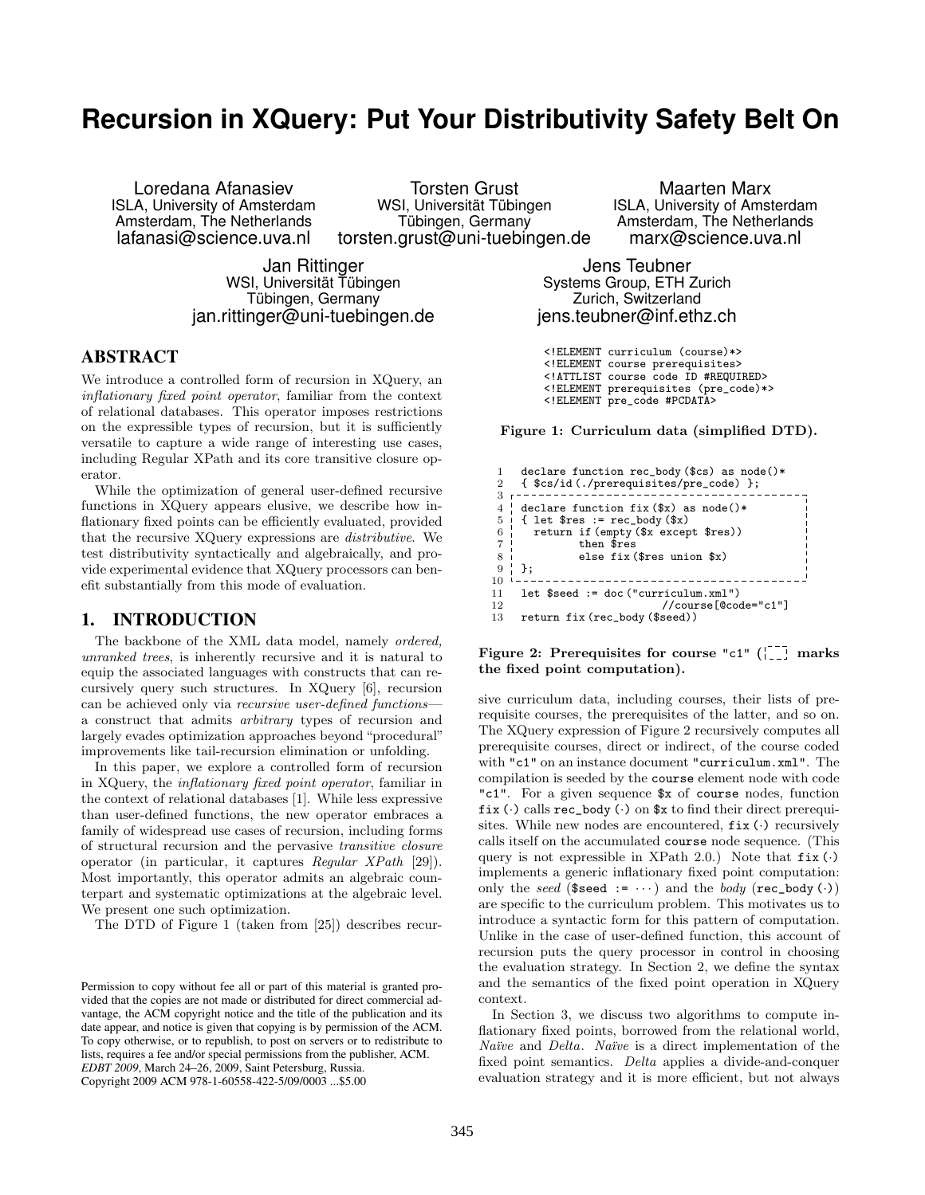# **Recursion in XQuery: Put Your Distributivity Safety Belt On**

Amsterdam, The Netherlands

Loredana Afanasiev **Torsten Grust Manustic Marx**<br>ISLA, University of Amsterdam MSI, Universität Tübingen MSLA, University of Amst lafanasi@science.uva.nl torsten.grust@uni-tuebingen.de marx@science.uva.nl

ISLA, Universität Tübingen MSIA, University of Amsterdam<br>Tübingen, Germany Mamsterdam, The Netherlands

Jan Rittinger Jens Teubner Tübingen, Germany **Zurich, Switzerland** jan.rittinger@uni-tuebingen.de jens.teubner@inf.ethz.ch

# ABSTRACT

We introduce a controlled form of recursion in XQuery, an inflationary fixed point operator, familiar from the context of relational databases. This operator imposes restrictions on the expressible types of recursion, but it is sufficiently versatile to capture a wide range of interesting use cases, including Regular XPath and its core transitive closure operator.

While the optimization of general user-defined recursive functions in XQuery appears elusive, we describe how inflationary fixed points can be efficiently evaluated, provided that the recursive XQuery expressions are distributive. We test distributivity syntactically and algebraically, and provide experimental evidence that XQuery processors can benefit substantially from this mode of evaluation.

# 1. INTRODUCTION

The backbone of the XML data model, namely ordered, unranked trees, is inherently recursive and it is natural to equip the associated languages with constructs that can recursively query such structures. In XQuery [6], recursion can be achieved only via recursive user-defined functions a construct that admits arbitrary types of recursion and largely evades optimization approaches beyond "procedural" improvements like tail-recursion elimination or unfolding.

In this paper, we explore a controlled form of recursion in XQuery, the inflationary fixed point operator, familiar in the context of relational databases [1]. While less expressive than user-defined functions, the new operator embraces a family of widespread use cases of recursion, including forms of structural recursion and the pervasive transitive closure operator (in particular, it captures Regular XPath [29]). Most importantly, this operator admits an algebraic counterpart and systematic optimizations at the algebraic level. We present one such optimization.

The DTD of Figure 1 (taken from [25]) describes recur-

Systems Group, ETH Zurich

- <!ELEMENT curriculum (course)\*>
- <!ELEMENT course prerequisites>
- <!ATTLIST course code ID #REQUIRED>
- <!ELEMENT prerequisites (pre\_code)\*>
- <!ELEMENT pre\_code #PCDATA>

Figure 1: Curriculum data (simplified DTD).

| declare function rec_body (\$cs) as $node()$ *    |                                                                                                                                                               |
|---------------------------------------------------|---------------------------------------------------------------------------------------------------------------------------------------------------------------|
|                                                   |                                                                                                                                                               |
|                                                   |                                                                                                                                                               |
|                                                   |                                                                                                                                                               |
| { let $\text{res} := \text{rec-body}(\$x)$        |                                                                                                                                                               |
|                                                   |                                                                                                                                                               |
| then \$res<br>$7^{\circ}$                         |                                                                                                                                                               |
| else fix $(\frac{2}{3}$ res union $\frac{2}{3}x)$ |                                                                                                                                                               |
| } :                                               |                                                                                                                                                               |
|                                                   |                                                                                                                                                               |
| $let$ \$seed := $doc('curriculum.xml")$           |                                                                                                                                                               |
| //course[@code="c1"]                              |                                                                                                                                                               |
| return fix (rec_body (\$seed))                    |                                                                                                                                                               |
|                                                   | { \$cs/id(./prerequisites/pre_code) };<br>declare function fix $(\$x)$ as node()*<br>5 <sup>1</sup><br>6 <sup>1</sup><br>return if (empty (\$x except \$res)) |

Figure 2: Prerequisites for course "c1"  $\int_{1}^{1}$  marks the fixed point computation).

sive curriculum data, including courses, their lists of prerequisite courses, the prerequisites of the latter, and so on. The XQuery expression of Figure 2 recursively computes all prerequisite courses, direct or indirect, of the course coded with "c1" on an instance document "curriculum.xml". The compilation is seeded by the course element node with code "c1". For a given sequence \$x of course nodes, function fix  $(\cdot)$  calls rec\_body  $(\cdot)$  on  $x$  to find their direct prerequisites. While new nodes are encountered,  $fix$  ( $\cdot$ ) recursively calls itself on the accumulated course node sequence. (This query is not expressible in XPath 2.0.) Note that  $fix(\cdot)$ implements a generic inflationary fixed point computation: only the seed (\$seed :=  $\cdots$ ) and the body (rec\_body  $(\cdot)$ ) are specific to the curriculum problem. This motivates us to introduce a syntactic form for this pattern of computation. Unlike in the case of user-defined function, this account of recursion puts the query processor in control in choosing the evaluation strategy. In Section 2, we define the syntax and the semantics of the fixed point operation in XQuery context.

In Section 3, we discuss two algorithms to compute inflationary fixed points, borrowed from the relational world, Naïve and Delta. Naïve is a direct implementation of the fixed point semantics. Delta applies a divide-and-conquer evaluation strategy and it is more efficient, but not always

Permission to copy without fee all or part of this material is granted provided that the copies are not made or distributed for direct commercial advantage, the ACM copyright notice and the title of the publication and its date appear, and notice is given that copying is by permission of the ACM. To copy otherwise, or to republish, to post on servers or to redistribute to lists, requires a fee and/or special permissions from the publisher, ACM. *EDBT 2009*, March 24–26, 2009, Saint Petersburg, Russia. Copyright 2009 ACM 978-1-60558-422-5/09/0003 ...\$5.00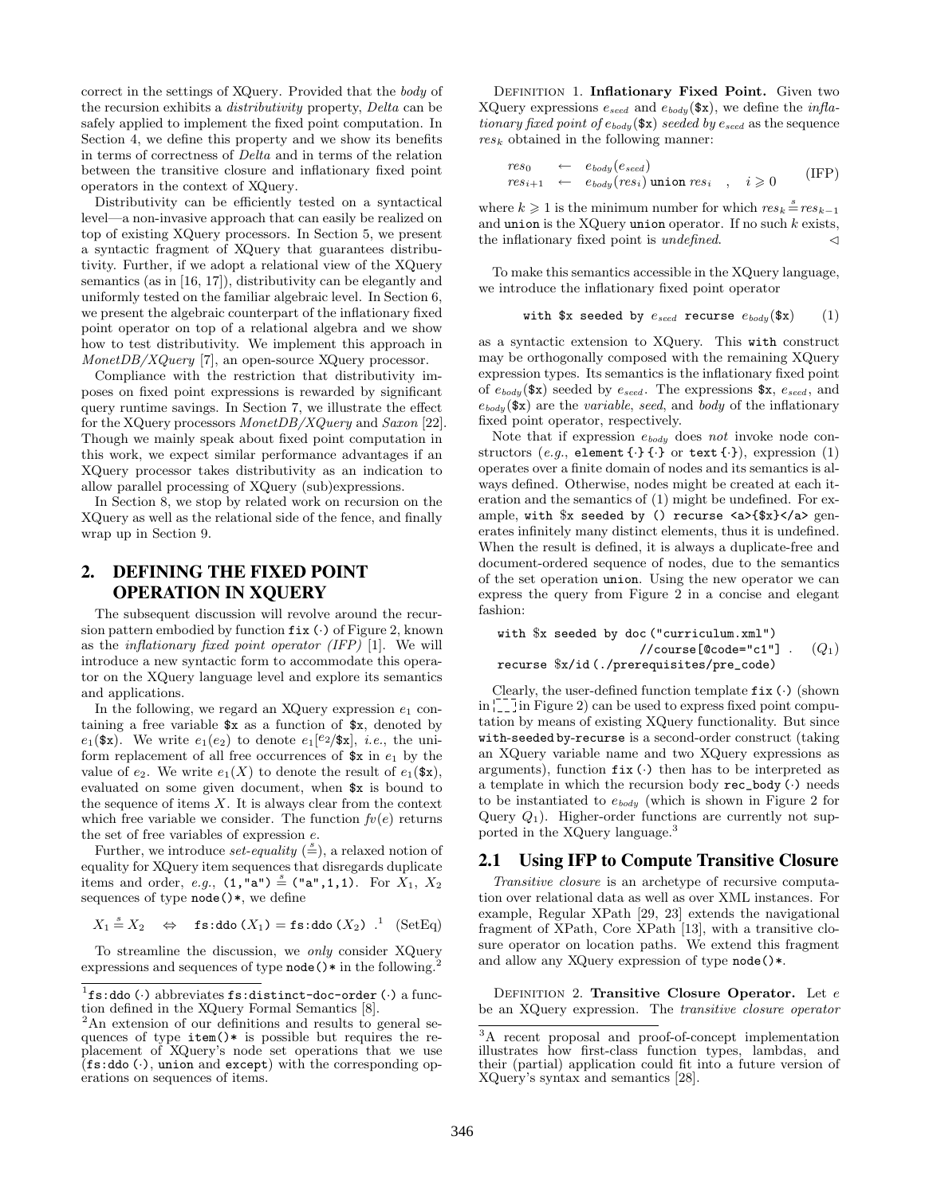correct in the settings of XQuery. Provided that the body of the recursion exhibits a distributivity property, Delta can be safely applied to implement the fixed point computation. In Section 4, we define this property and we show its benefits in terms of correctness of Delta and in terms of the relation between the transitive closure and inflationary fixed point operators in the context of XQuery.

Distributivity can be efficiently tested on a syntactical level—a non-invasive approach that can easily be realized on top of existing XQuery processors. In Section 5, we present a syntactic fragment of XQuery that guarantees distributivity. Further, if we adopt a relational view of the XQuery semantics (as in [16, 17]), distributivity can be elegantly and uniformly tested on the familiar algebraic level. In Section 6, we present the algebraic counterpart of the inflationary fixed point operator on top of a relational algebra and we show how to test distributivity. We implement this approach in MonetDB/XQuery [7], an open-source XQuery processor.

Compliance with the restriction that distributivity imposes on fixed point expressions is rewarded by significant query runtime savings. In Section 7, we illustrate the effect for the XQuery processors MonetDB/XQuery and Saxon [22]. Though we mainly speak about fixed point computation in this work, we expect similar performance advantages if an XQuery processor takes distributivity as an indication to allow parallel processing of XQuery (sub)expressions.

In Section 8, we stop by related work on recursion on the XQuery as well as the relational side of the fence, and finally wrap up in Section 9.

# 2. DEFINING THE FIXED POINT OPERATION IN XQUERY

The subsequent discussion will revolve around the recursion pattern embodied by function  $fix$  ( $\cdot$ ) of Figure 2, known as the *inflationary fixed point operator (IFP)* [1]. We will introduce a new syntactic form to accommodate this operator on the XQuery language level and explore its semantics and applications.

In the following, we regard an XQuery expression  $e_1$  containing a free variable  $x$  as a function of  $x$ , denoted by  $e_1$ (\$x). We write  $e_1(e_2)$  to denote  $e_1$ [ $e_2$ /\$x], *i.e.*, the uniform replacement of all free occurrences of  $x$  in  $e_1$  by the value of  $e_2$ . We write  $e_1(X)$  to denote the result of  $e_1(\mathbf{sx})$ , evaluated on some given document, when \$x is bound to the sequence of items  $X$ . It is always clear from the context which free variable we consider. The function  $f(v(e))$  returns the set of free variables of expression e.

Further, we introduce *set-equality*  $(\stackrel{s}{=})$ , a relaxed notion of equality for XQuery item sequences that disregards duplicate items and order, e.g.,  $(1, "a") \stackrel{s}{=} ("a", 1,1)$ . For  $X_1, X_2$ sequences of type node()\*, we define

$$
X_1 \stackrel{s}{=} X_2 \quad \Leftrightarrow \quad \text{fs:ddo}(X_1) = \text{fs:ddo}(X_2) \quad \text{!} \quad (\text{SetEq})
$$

To streamline the discussion, we only consider XQuery expressions and sequences of type  $\texttt{node}() * \text{in the following}$ .

DEFINITION 1. Inflationary Fixed Point. Given two XQuery expressions  $e_{seed}$  and  $e_{body}$  (\$x), we define the *infla*tionary fixed point of  $e_{body}$  (\$x) seeded by  $e_{seed}$  as the sequence  $res_k$  obtained in the following manner:

$$
\begin{array}{rcl}\nres_0 & \leftarrow & e_{body}(e_{seed}) \\
res_{i+1} & \leftarrow & e_{body}(res_i) \text{ union } res_i , \quad i \geq 0\n\end{array} \qquad (\text{IFP})
$$

where  $k \geq 1$  is the minimum number for which  $res_k \stackrel{s}{=} res_{k-1}$ and union is the XQuery union operator. If no such  $k$  exists, the inflationary fixed point is *undefined*.  $\triangleleft$ 

To make this semantics accessible in the XQuery language, we introduce the inflationary fixed point operator

with \$x seeded by  $e_{seed}$  recurse  $e_{body}$ (\$x) (1)

as a syntactic extension to XQuery. This with construct may be orthogonally composed with the remaining XQuery expression types. Its semantics is the inflationary fixed point of  $e_{body}$  (\$x) seeded by  $e_{seed}$ . The expressions \$x,  $e_{seed}$ , and  $e_{\text{body}}$ (\$x) are the variable, seed, and body of the inflationary fixed point operator, respectively.

Note that if expression ebody does not invoke node constructors (e.g., element  $\{\cdot\}$  { $\cdot$ } or text  $\{\cdot\}$ ), expression (1) operates over a finite domain of nodes and its semantics is always defined. Otherwise, nodes might be created at each iteration and the semantics of (1) might be undefined. For example, with \$x seeded by () recurse <a>{\$x}</a> generates infinitely many distinct elements, thus it is undefined. When the result is defined, it is always a duplicate-free and document-ordered sequence of nodes, due to the semantics of the set operation union. Using the new operator we can express the query from Figure 2 in a concise and elegant fashion:

```
with $x seeded by doc ("curriculum.xml")
                    //course[@code="c1"]
recurse $x/id (./prerequisites/pre_code)
                                             (Q_1)
```
Clearly, the user-defined function template  $fix$  ( $\cdot$ ) (shown  $\ln \frac{1}{1-\epsilon}$  in Figure 2) can be used to express fixed point computation by means of existing XQuery functionality. But since with-seeded by-recurse is a second-order construct (taking an XQuery variable name and two XQuery expressions as arguments), function  $fix$  ( $\cdot$ ) then has to be interpreted as a template in which the recursion body  $rec\_body$  ( $\cdot$ ) needs to be instantiated to  $e_{body}$  (which is shown in Figure 2 for Query  $Q_1$ ). Higher-order functions are currently not supported in the XQuery language.<sup>3</sup>

# 2.1 Using IFP to Compute Transitive Closure

Transitive closure is an archetype of recursive computation over relational data as well as over XML instances. For example, Regular XPath [29, 23] extends the navigational fragment of XPath, Core XPath [13], with a transitive closure operator on location paths. We extend this fragment and allow any XQuery expression of type node()\*.

DEFINITION 2. Transitive Closure Operator. Let  $e$ be an XQuery expression. The transitive closure operator

 ${}^{1}$ fs:ddo (·) abbreviates fs:distinct-doc-order (·) a function defined in the XQuery Formal Semantics [8].

<sup>&</sup>lt;sup>2</sup>An extension of our definitions and results to general sequences of type item()\* is possible but requires the replacement of XQuery's node set operations that we use  $($ fs:ddo (·), union and except) with the corresponding operations on sequences of items.

 $\overline{3A}$  recent proposal and proof-of-concept implementation illustrates how first-class function types, lambdas, and their (partial) application could fit into a future version of XQuery's syntax and semantics [28].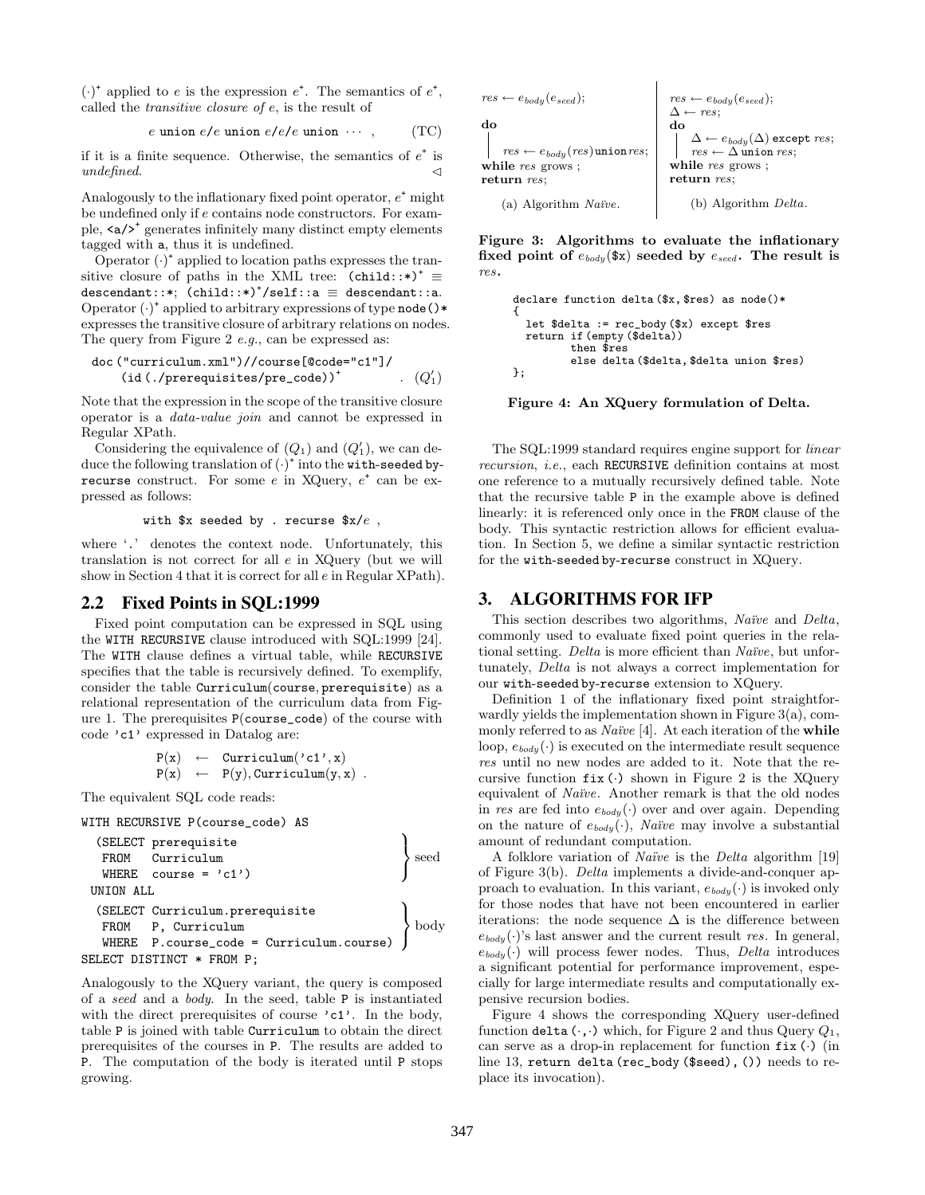$(\cdot)^*$  applied to e is the expression  $e^*$ . The semantics of  $e^*$ , called the transitive closure of e, is the result of

$$
e \text{ union } e/e \text{ union } e/e/e \text{ union } \cdots , \qquad (TC)
$$

if it is a finite sequence. Otherwise, the semantics of  $e^+$  is undefined.

Analogously to the inflationary fixed point operator,  $e^+$  might be undefined only if e contains node constructors. For example,  $\langle a / \rangle^*$  generates infinitely many distinct empty elements tagged with a, thus it is undefined.

Operator  $(\cdot)^*$  applied to location paths expresses the transitive closure of paths in the XML tree:  $(cchild::*)^{\dagger} \equiv$  $\mathtt{descendant::*}; \ \mathsf{(child::*)}^*/\mathtt{self::a} \ \equiv \ \mathtt{descendant::a}.$ Operator ( $\cdot$ )<sup>+</sup> applied to arbitrary expressions of type node ()\* expresses the transitive closure of arbitrary relations on nodes. The query from Figure 2 e.g., can be expressed as:

$$
\begin{array}{ll}\n\text{doc ("curriculum.xml"))//course[@code="c1"]/} \\
(\text{id}(./prerequisites/pre\_code))^+ & (Q_1')\n\end{array}
$$

Note that the expression in the scope of the transitive closure operator is a data-value join and cannot be expressed in Regular XPath.

Considering the equivalence of  $(Q_1)$  and  $(Q'_1)$ , we can deduce the following translation of  $(\cdot)^*$  into the with-seeded byrecurse construct. For some  $e$  in XQuery,  $e^+$  can be expressed as follows:

with  $x$  seeded by . recurse  $x/e$ ,

where '.' denotes the context node. Unfortunately, this translation is not correct for all e in XQuery (but we will show in Section 4 that it is correct for all e in Regular XPath).

#### 2.2 Fixed Points in SQL:1999

Fixed point computation can be expressed in SQL using the WITH RECURSIVE clause introduced with SQL:1999 [24]. The WITH clause defines a virtual table, while RECURSIVE specifies that the table is recursively defined. To exemplify, consider the table Curriculum(course, prerequisite) as a relational representation of the curriculum data from Figure 1. The prerequisites P(course\_code) of the course with code 'c1' expressed in Datalog are:

> $P(x) \leftarrow$  Curriculum('c1', x)  $P(x) \leftarrow P(y)$ , Curriculum $(y, x)$ .

The equivalent SQL code reads:

WITH RECURSIVE P(course\_code) AS

```
(SELECT prerequisite
   FROM Curriculum
   WHERE course = 'c1')\mathcal{L}\searrow\left| \right|UNION ALL
  (SELECT Curriculum.prerequisite
   FROM P, Curriculum
   WHERE P.course_code = Curriculum.course)
                                                        \mathcal{L}\mathcal{L}\left| \right|body
SELECT DISTINCT * FROM P;
```
Analogously to the XQuery variant, the query is composed of a seed and a body. In the seed, table P is instantiated with the direct prerequisites of course  $\text{`c1'}.$  In the body, table P is joined with table Curriculum to obtain the direct prerequisites of the courses in P. The results are added to P. The computation of the body is iterated until P stops growing.

| $res \leftarrow e_{body}(e_{seed});$      | $res \leftarrow e_{body}(e_{seed});$ |                                                  |
|-------------------------------------------|--------------------------------------|--------------------------------------------------|
| do                                        | $\Delta \leftarrow res;$             | do                                               |
| $res \leftarrow e_{body}(res)$ union res; | do                                   |                                                  |
| $res \leftarrow e_{body}(res)$ union res; | se                                   | $\Delta \leftarrow e_{body}(\Delta)$ except res; |
| while res grows ;                         | while res grows ;                    |                                                  |
| return res;                               | return res;                          |                                                  |
| (a) Algorithm Naïve.                      | (b) Algorithm Delta.                 |                                                  |

Figure 3: Algorithms to evaluate the inflationary fixed point of  $e_{body}$ (\$x) seeded by  $e_{seed}$ . The result is res.

```
declare function delta ($x, $res) as node()*
{
  let $delta := rec_body ($x) except $res
  return if (empty ($delta))
         then $res
         else delta ($delta, $delta union $res)
};
```
Figure 4: An XQuery formulation of Delta.

The SQL:1999 standard requires engine support for linear recursion, i.e., each RECURSIVE definition contains at most one reference to a mutually recursively defined table. Note that the recursive table P in the example above is defined linearly: it is referenced only once in the FROM clause of the body. This syntactic restriction allows for efficient evaluation. In Section 5, we define a similar syntactic restriction for the with-seeded by-recurse construct in XQuery.

#### 3. ALGORITHMS FOR IFP

This section describes two algorithms, Naïve and Delta, commonly used to evaluate fixed point queries in the relational setting. Delta is more efficient than Naïve, but unfortunately, Delta is not always a correct implementation for our with-seeded by-recurse extension to XQuery.

Definition 1 of the inflationary fixed point straightforwardly yields the implementation shown in Figure 3(a), commonly referred to as *Naïve* [4]. At each iteration of the **while** loop,  $e_{body}(\cdot)$  is executed on the intermediate result sequence res until no new nodes are added to it. Note that the recursive function  $fix$  ( $\cdot$ ) shown in Figure 2 is the XQuery equivalent of *Naïve*. Another remark is that the old nodes in res are fed into  $e_{body}(\cdot)$  over and over again. Depending on the nature of  $e_{body}(\cdot)$ , *Naïve* may involve a substantial amount of redundant computation.

A folklore variation of *Naïve* is the *Delta* algorithm [19] of Figure 3(b). Delta implements a divide-and-conquer approach to evaluation. In this variant,  $e_{body}(\cdot)$  is invoked only for those nodes that have not been encountered in earlier iterations: the node sequence  $\Delta$  is the difference between  $e_{bady}(\cdot)$ 's last answer and the current result res. In general,  $e_{\text{body}}(\cdot)$  will process fewer nodes. Thus, Delta introduces a significant potential for performance improvement, especially for large intermediate results and computationally expensive recursion bodies.

Figure 4 shows the corresponding XQuery user-defined function delta  $(\cdot, \cdot)$  which, for Figure 2 and thus Query  $Q_1$ , can serve as a drop-in replacement for function  $fix$  ( $\cdot$ ) (in line 13, return delta (rec\_body (\$seed), ()) needs to replace its invocation).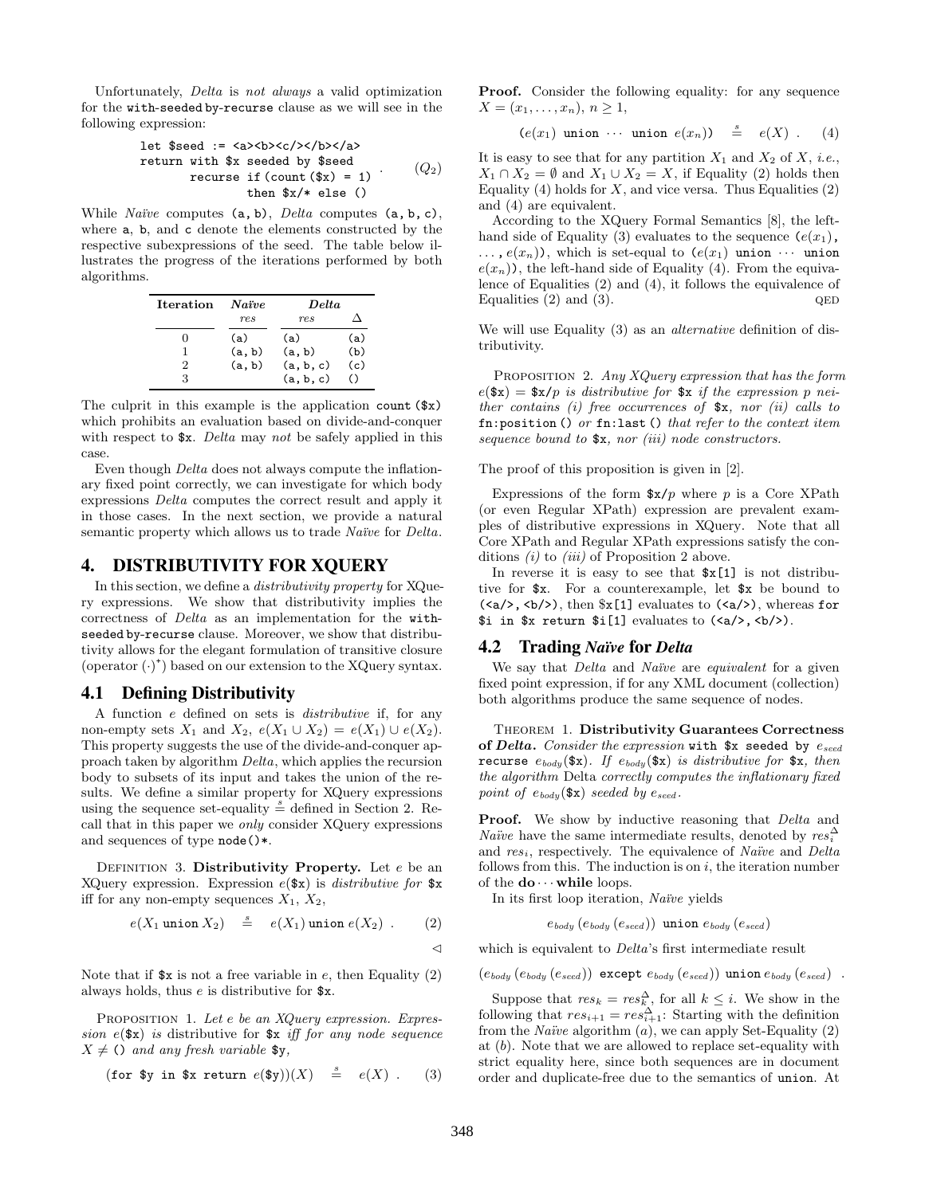Unfortunately, Delta is not always a valid optimization for the with-seeded by-recurse clause as we will see in the following expression:

let 
$$
\$seed := \langle a \rangle \langle b \rangle \langle c \rangle \langle b \rangle \langle a \rangle
$$

\nreturn with  $\$x$  seeded by  $\$seed$ 

\nrecursive  $if (count ($x) = 1)$ 

\nthen  $\$x/*$  else()

While *Naïve* computes  $(a, b)$ , *Delta* computes  $(a, b, c)$ , where a, b, and c denote the elements constructed by the respective subexpressions of the seed. The table below illustrates the progress of the iterations performed by both algorithms.

| <b>Iteration</b> Naïve |        | Delta     |                 |
|------------------------|--------|-----------|-----------------|
|                        | res    | res       |                 |
| 0                      | (a)    | (a)       | (a)             |
|                        | (a, b) | (a, b)    | (b)             |
| 2                      | (a, b) | (a, b, c) | (c)             |
| 3                      |        | (a, b, c) | $\left(\right)$ |

The culprit in this example is the application count (\$x) which prohibits an evaluation based on divide-and-conquer with respect to  $x$ . Delta may not be safely applied in this case.

Even though Delta does not always compute the inflationary fixed point correctly, we can investigate for which body expressions Delta computes the correct result and apply it in those cases. In the next section, we provide a natural semantic property which allows us to trade Naïve for Delta.

### 4. DISTRIBUTIVITY FOR XQUERY

In this section, we define a distributivity property for XQuery expressions. We show that distributivity implies the correctness of Delta as an implementation for the withseeded by-recurse clause. Moreover, we show that distributivity allows for the elegant formulation of transitive closure (operator  $(\cdot)^*$ ) based on our extension to the XQuery syntax.

#### 4.1 Defining Distributivity

A function e defined on sets is distributive if, for any non-empty sets  $X_1$  and  $X_2$ ,  $e(X_1 \cup X_2) = e(X_1) \cup e(X_2)$ . This property suggests the use of the divide-and-conquer approach taken by algorithm Delta, which applies the recursion body to subsets of its input and takes the union of the results. We define a similar property for XQuery expressions using the sequence set-equality  $\stackrel{s}{=}$  defined in Section 2. Recall that in this paper we only consider XQuery expressions and sequences of type node()\*.

DEFINITION 3. Distributivity Property. Let  $e$  be an XQuery expression. Expression  $e(\text{sx})$  is *distributive for*  $\text{sx}$ iff for any non-empty sequences  $X_1, X_2,$ 

$$
e(X_1 \text{ union } X_2) \quad \stackrel{s}{=} \quad e(X_1) \text{ union } e(X_2) \quad . \tag{2}
$$

Note that if  $x$  is not a free variable in e, then Equality (2) always holds, thus e is distributive for \$x.

PROPOSITION 1. Let e be an XQuery expression. Expression  $e$ (\$x) is distributive for \$x iff for any node sequence  $X \neq$  () and any fresh variable \$y,

$$
(\text{for } \text{$y in } \text{$x return } e(\text{$y)})(X) \stackrel{s}{=} e(X) . \qquad (3)
$$

Proof. Consider the following equality: for any sequence  $X = (x_1, \ldots, x_n), n \geq 1,$ 

$$
(e(x_1) \text{ union } \cdots \text{ union } e(x_n)) \stackrel{s}{=} e(X) . \qquad (4)
$$

It is easy to see that for any partition  $X_1$  and  $X_2$  of  $X$ , *i.e.*,  $X_1 \cap X_2 = \emptyset$  and  $X_1 \cup X_2 = X$ , if Equality (2) holds then Equality (4) holds for  $X$ , and vice versa. Thus Equalities (2) and (4) are equivalent.

According to the XQuery Formal Semantics [8], the lefthand side of Equality (3) evaluates to the sequence  $(e(x_1),$  $\ldots$ ,  $e(x_n)$ , which is set-equal to  $(e(x_1)$  union  $\cdots$  union  $e(x_n)$ , the left-hand side of Equality (4). From the equivalence of Equalities (2) and (4), it follows the equivalence of Equalities  $(2)$  and  $(3)$ . QED

We will use Equality (3) as an *alternative* definition of distributivity.

PROPOSITION 2. Any XQuery expression that has the form  $e$  $(\texttt{\$x}) = \texttt{\$x/p}$  is distributive for  $\texttt{\$x}$  if the expression p neither contains (i) free occurrences of  $x$ , nor (ii) calls to  $fn:position()$  or  $fn:last()$  that refer to the context item sequence bound to  $x, nor (iii)$  node constructors.

The proof of this proposition is given in [2].

Expressions of the form  $x/p$  where p is a Core XPath (or even Regular XPath) expression are prevalent examples of distributive expressions in XQuery. Note that all Core XPath and Regular XPath expressions satisfy the conditions  $(i)$  to  $(iii)$  of Proposition 2 above.

In reverse it is easy to see that  $x[1]$  is not distributive for \$x. For a counterexample, let \$x be bound to  $(\langle a/\rangle, \langle b/\rangle)$ , then  $x[1]$  evaluates to  $(\langle a/\rangle)$ , whereas for  $$i$  in  $x$  return  $[i]$  evaluates to  $\langle a \rangle$ ,  $\langle b \rangle$ ).

#### 4.2 Trading *Naïve* for *Delta*

We say that *Delta* and *Naïve* are *equivalent* for a given fixed point expression, if for any XML document (collection) both algorithms produce the same sequence of nodes.

Theorem 1. Distributivity Guarantees Correctness of Delta. Consider the expression with  $x$  seeded by  $e_{seed}$ recurse  $e_{body}(\texttt{\$x})$ . If  $e_{body}(\texttt{\$x})$  is distributive for  $\texttt{\$x}$ , then the algorithm Delta correctly computes the inflationary fixed point of  $e_{body}(\$x)$  seeded by  $e_{seed}$ .

**Proof.** We show by inductive reasoning that Delta and *Naïve* have the same intermediate results, denoted by  $res_i^{\Delta}$ and  $res_i$ , respectively. The equivalence of *Naïve* and *Delta* follows from this. The induction is on  $i$ , the iteration number of the  $\mathbf{do} \cdots$  while loops.

In its first loop iteration, Naïve yields

 $e_{body}$   $(e_{body}$   $(e_{seed})$ ) union  $e_{body}$   $(e_{seed})$ 

which is equivalent to *Delta*'s first intermediate result

 $(e_{body} (e_{body} (e_{seed}))$  except  $e_{body} (e_{seed})$ ) union  $e_{body} (e_{seed})$ .

Suppose that  $res_k = res_k^{\Delta}$ , for all  $k \leq i$ . We show in the following that  $res_{i+1} = res_{i+1}^{\Delta}$ : Starting with the definition from the *Naïve* algorithm  $(a)$ , we can apply Set-Equality  $(2)$ at (b). Note that we are allowed to replace set-equality with strict equality here, since both sequences are in document order and duplicate-free due to the semantics of union. At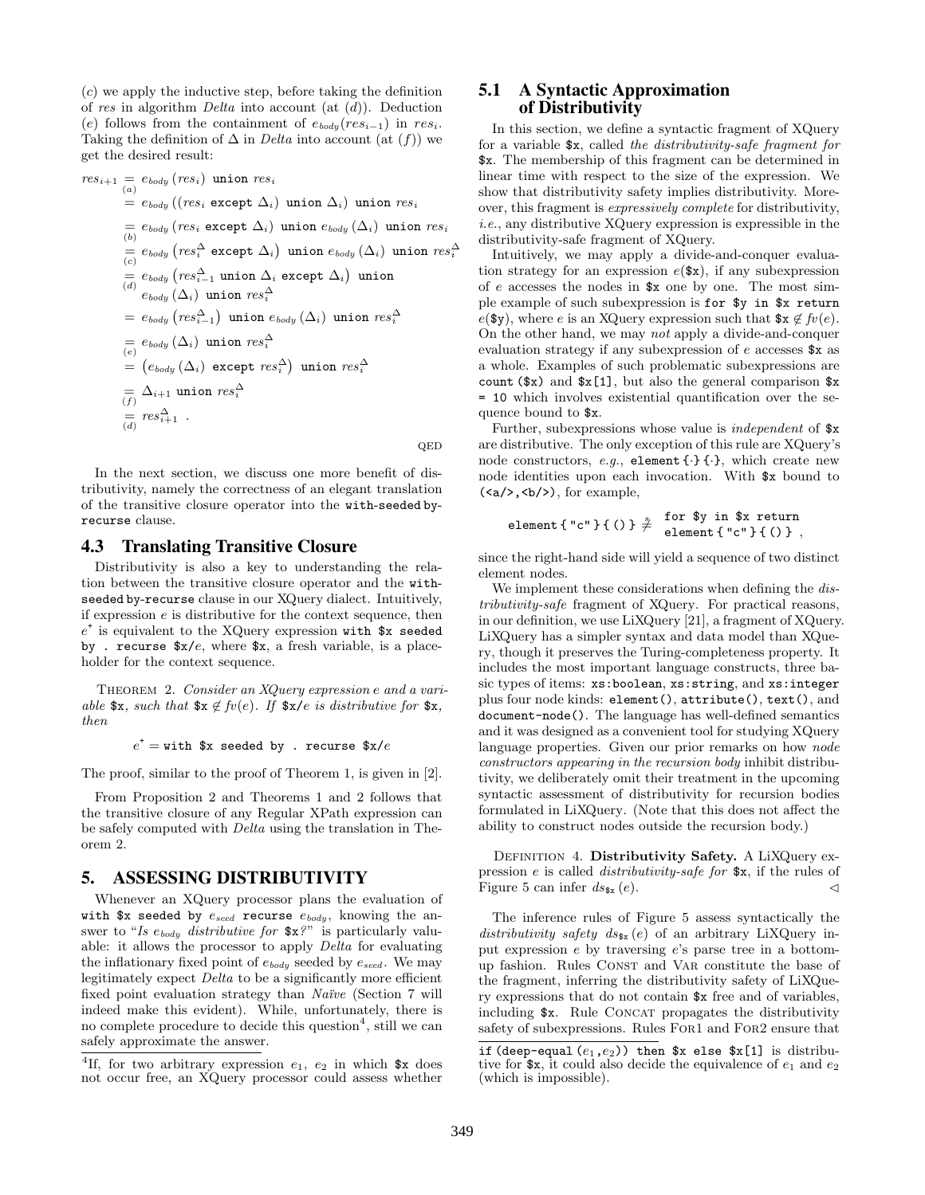(c) we apply the inductive step, before taking the definition of res in algorithm *Delta* into account (at  $(d)$ ). Deduction (e) follows from the containment of  $e_{body}(res_{i-1})$  in res<sub>i</sub>. Taking the definition of  $\Delta$  in *Delta* into account (at  $(f)$ ) we get the desired result:

$$
res_{i+1} = e_{body} (res_i) \text{ union } res_i
$$
  
\n
$$
= e_{body} ((res_i \text{ except } \Delta_i) \text{ union } \Delta_i) \text{ union } res_i
$$
  
\n
$$
= e_{body} (res_i \text{ except } \Delta_i) \text{ union } e_{body} (\Delta_i) \text{ union } res_i
$$
  
\n
$$
= e_{body} (res_i \text{ except } \Delta_i) \text{ union } e_{body} (\Delta_i) \text{ union } res_i
$$
  
\n
$$
= e_{body} (res_i^{\Delta} \text{ except } \Delta_i) \text{ union } e_{body} (\Delta_i) \text{ union } res_i^{\Delta}
$$
  
\n
$$
= e_{body} (res_{i-1}^{\Delta} \text{ union } res_i^{\Delta}
$$
  
\n
$$
= e_{body} (res_{i-1}^{\Delta}) \text{ union } res_i^{\Delta}
$$
  
\n
$$
= e_{body} (\Delta_i) \text{ union } res_i^{\Delta}
$$
  
\n
$$
= (e_{body} (\Delta_i) \text{ except } res_i^{\Delta}) \text{ union } res_i^{\Delta}
$$
  
\n
$$
= (\Delta_{body} (\Delta_i) \text{ except } res_i^{\Delta}) \text{ union } res_i^{\Delta}
$$
  
\n
$$
= \Delta_{i+1} \text{ union } res_i^{\Delta}
$$
  
\n
$$
res_{i+1}^{\Delta} .
$$

 $QED$ 

In the next section, we discuss one more benefit of distributivity, namely the correctness of an elegant translation of the transitive closure operator into the with-seeded byrecurse clause.

# 4.3 Translating Transitive Closure

Distributivity is also a key to understanding the relation between the transitive closure operator and the withseeded by-recurse clause in our XQuery dialect. Intuitively, if expression  $e$  is distributive for the context sequence, then  $e^+$  is equivalent to the XQuery expression with  $x$  seeded by . recurse  $x/e$ , where  $x$ , a fresh variable, is a placeholder for the context sequence.

THEOREM 2. Consider an XQuery expression e and a variable  $x, such that$   $x \notin f(v(e))$ . If  $x/e$  is distributive for  $x$ , then

 $e^{\texttt{+}} = \texttt{with}$  \$x seeded by . recurse \$x/ $e$ 

The proof, similar to the proof of Theorem 1, is given in [2].

From Proposition 2 and Theorems 1 and 2 follows that the transitive closure of any Regular XPath expression can be safely computed with Delta using the translation in Theorem 2.

### 5. ASSESSING DISTRIBUTIVITY

Whenever an XQuery processor plans the evaluation of with \$x seeded by  $e_{seed}$  recurse  $e_{body}$ , knowing the answer to "Is  $e_{body}$  distributive for  $x$ ?" is particularly valuable: it allows the processor to apply Delta for evaluating the inflationary fixed point of  $e_{body}$  seeded by  $e_{seed}$ . We may legitimately expect Delta to be a significantly more efficient fixed point evaluation strategy than Naïve (Section 7 will indeed make this evident). While, unfortunately, there is no complete procedure to decide this question<sup>4</sup>, still we can safely approximate the answer.

# 5.1 A Syntactic Approximation of Distributivity

In this section, we define a syntactic fragment of XQuery for a variable \$x, called the distributivity-safe fragment for \$x. The membership of this fragment can be determined in linear time with respect to the size of the expression. We show that distributivity safety implies distributivity. Moreover, this fragment is expressively complete for distributivity, i.e., any distributive XQuery expression is expressible in the distributivity-safe fragment of XQuery.

Intuitively, we may apply a divide-and-conquer evaluation strategy for an expression  $e(\text{sx})$ , if any subexpression of e accesses the nodes in \$x one by one. The most simple example of such subexpression is for \$y in \$x return  $e$ (\$y), where e is an XQuery expression such that  $x \notin f$  $(e)$ . On the other hand, we may not apply a divide-and-conquer evaluation strategy if any subexpression of e accesses \$x as a whole. Examples of such problematic subexpressions are count  $(\$x)$  and  $*_x[1]$ , but also the general comparison  $*_x$ = 10 which involves existential quantification over the sequence bound to \$x.

Further, subexpressions whose value is independent of \$x are distributive. The only exception of this rule are XQuery's node constructors, e.g., element  $\{\cdot\}$   $\{\cdot\}$ , which create new node identities upon each invocation. With \$x bound to  $(\langle a/\rangle, \langle b/\rangle)$ , for example,

$$
\texttt{element} \verb!{''c"} {`( ) } \nRightarrow \quad \texttt{for} \texttt{$y in $x$ return} \\ \texttt{element} \verb!{''c"} {`( ) } \,,
$$

since the right-hand side will yield a sequence of two distinct element nodes.

We implement these considerations when defining the distributivity-safe fragment of XQuery. For practical reasons, in our definition, we use LiXQuery [21], a fragment of XQuery. LiXQuery has a simpler syntax and data model than XQuery, though it preserves the Turing-completeness property. It includes the most important language constructs, three basic types of items: xs:boolean, xs:string, and xs:integer plus four node kinds: element(), attribute(), text(), and document-node(). The language has well-defined semantics and it was designed as a convenient tool for studying XQuery language properties. Given our prior remarks on how node constructors appearing in the recursion body inhibit distributivity, we deliberately omit their treatment in the upcoming syntactic assessment of distributivity for recursion bodies formulated in LiXQuery. (Note that this does not affect the ability to construct nodes outside the recursion body.)

DEFINITION 4. Distributivity Safety. A LiXQuery expression e is called distributivity-safe for \$x, if the rules of Figure 5 can infer  $ds_{\mathbf{sx}}(e)$ .

The inference rules of Figure 5 assess syntactically the distributivity safety  $ds_{\text{sx}}(e)$  of an arbitrary LiXQuery input expression e by traversing e's parse tree in a bottomup fashion. Rules CONST and VAR constitute the base of the fragment, inferring the distributivity safety of LiXQuery expressions that do not contain \$x free and of variables, including  $x$ . Rule CONCAT propagates the distributivity safety of subexpressions. Rules For1 and For2 ensure that

<sup>&</sup>lt;sup>4</sup>If, for two arbitrary expression  $e_1$ ,  $e_2$  in which  $x$  does not occur free, an XQuery processor could assess whether

if (deep-equal  $(e_1,e_2)$ ) then \$x else \$x[1] is distributive for  $x$ , it could also decide the equivalence of  $e_1$  and  $e_2$ (which is impossible).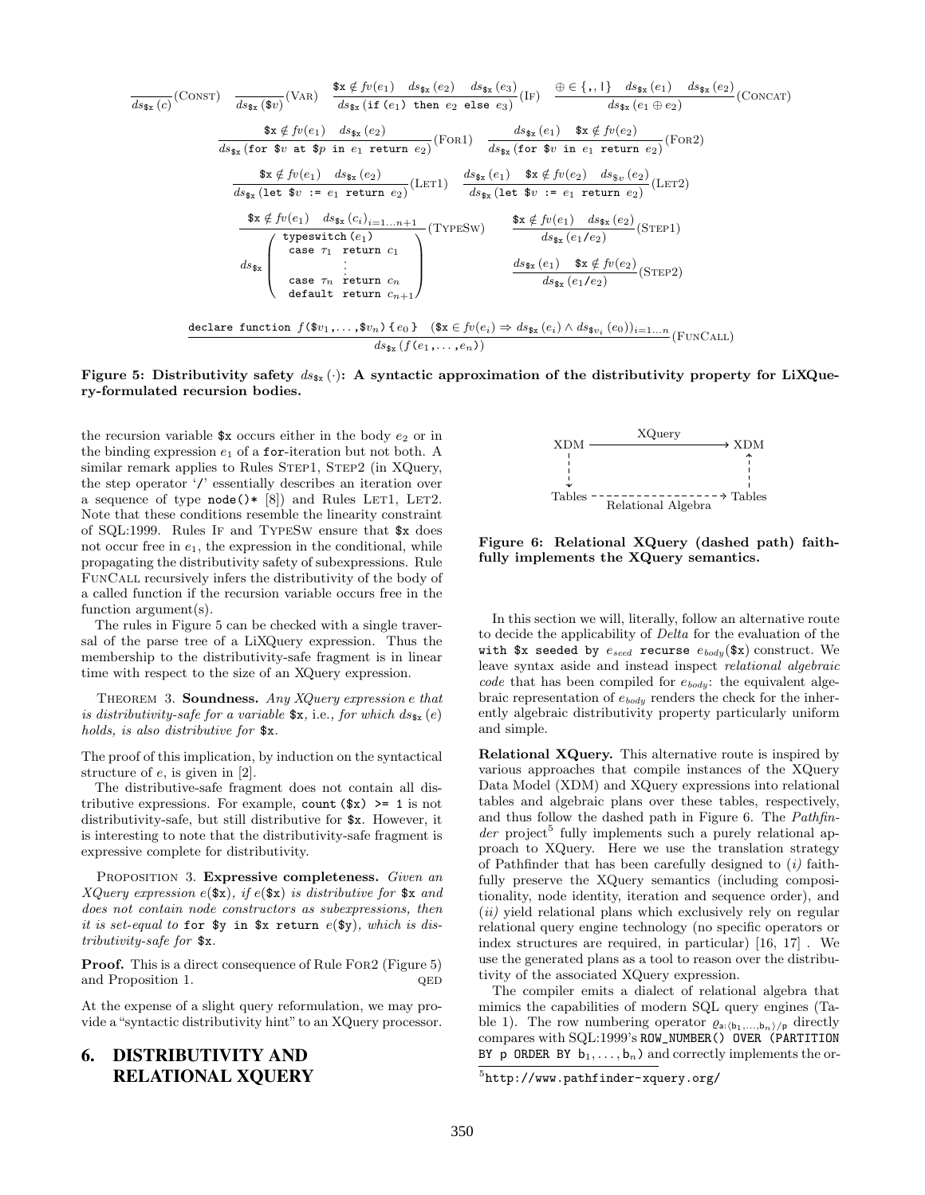$$
\frac{d_{s_{\tilde{x}}}(c)}{ds_{\tilde{x}_{\tilde{x}}}(c)}(\text{Consr}) \quad \frac{\text{# } \tilde{x} \notin \text{fv}(e_1) \quad ds_{\tilde{x}_{\tilde{x}}}(e_2) \quad ds_{\tilde{x}_{\tilde{x}}}(e_3)}{ds_{\tilde{x}_{\tilde{x}}}\left(\text{if } (e_1) \text{ then } e_2 \text{ else } e_3\right)} (\text{Is}) \quad \frac{\oplus \in \{, , \} \} \quad ds_{\tilde{x}_{\tilde{x}}}(e_1) \quad ds_{\tilde{x}_{\tilde{x}}}(e_2)}{ds_{\tilde{x}_{\tilde{x}}}\left(\text{for } \tilde{x}v \text{ at } \tilde{x}p \text{ in } e_1 \text{ return } e_2\right)} (\text{For } 1) \quad \frac{ds_{\tilde{x}_{\tilde{x}}}(e_1) \quad \tilde{x}_{\tilde{x}} \notin \text{fv}(e_2)}{ds_{\tilde{x}_{\tilde{x}}}\left(\text{for } \tilde{x}v \text{ in } e_1 \text{ return } e_2\right)} (\text{For } 2) \quad \frac{\text{# } \tilde{x} \notin \text{fv}(e_1) \quad ds_{\tilde{x}_{\tilde{x}}}(e_2)}{ds_{\tilde{x}_{\tilde{x}}}\left(\text{let } \tilde{x}v := e_1 \text{ return } e_2\right)} (\text{LET 1}) \quad \frac{ds_{\tilde{x}_{\tilde{x}}}(e_1) \quad \tilde{x}_{\tilde{x}} \notin \text{fv}(e_2) \quad ds_{\tilde{x}_{\tilde{v}}}(e_2)}{ds_{\tilde{x}_{\tilde{x}}}\left(\text{let } \tilde{x}v := e_1 \text{ return } e_2\right)} (\text{LET 2}) \quad \frac{\text{# } \tilde{x} \notin \text{fv}(e_1) \quad ds_{\tilde{x}_{\tilde{x}}}(e_1)}{ds_{\tilde{x}_{\tilde{x}}}\left(\text{let } \tilde{x}v := e_1 \text{ return } e_2\right)} (\text{SET 2}) \quad \frac{\text{# } \tilde{x} \notin \text{fv}(e_1) \quad ds_{\tilde{x}_{\tilde{x}}}(e_1)}{ds_{\tilde{x}_{\tilde{x}}}\left(\text{let } \tilde{x}v := e_1 \text{ return } e_2\right)} (\text{SET 2}) \quad \frac{\
$$

#### Figure 5: Distributivity safety  $ds_{\tilde{x}}(\cdot)$ : A syntactic approximation of the distributivity property for LiXQuery-formulated recursion bodies.

the recursion variable  $x \text{ occurs either in the body } e_2 \text{ or in}$ the binding expression  $e_1$  of a for-iteration but not both. A similar remark applies to Rules STEP1, STEP2 (in XQuery, the step operator '/' essentially describes an iteration over a sequence of type  $node() * [8]$  and Rules LET1, LET2. Note that these conditions resemble the linearity constraint of SQL:1999. Rules If and TypeSw ensure that \$x does not occur free in  $e_1$ , the expression in the conditional, while propagating the distributivity safety of subexpressions. Rule FunCall recursively infers the distributivity of the body of a called function if the recursion variable occurs free in the function argument(s).

The rules in Figure 5 can be checked with a single traversal of the parse tree of a LiXQuery expression. Thus the membership to the distributivity-safe fragment is in linear time with respect to the size of an XQuery expression.

THEOREM 3. Soundness. Any  $XQuery$  expression e that is distributivity-safe for a variable  $x$ , i.e., for which  $ds_{x}(e)$ holds, is also distributive for \$x.

The proof of this implication, by induction on the syntactical structure of e, is given in [2].

The distributive-safe fragment does not contain all distributive expressions. For example, count  $(\$x)$  >= 1 is not distributivity-safe, but still distributive for \$x. However, it is interesting to note that the distributivity-safe fragment is expressive complete for distributivity.

PROPOSITION 3. Expressive completeness. Given an XQuery expression  $e(\texttt{f}x)$ , if  $e(\texttt{f}x)$  is distributive for  $\texttt{f}x$  and does not contain node constructors as subexpressions, then it is set-equal to for  $y \in \mathbb{R}$  in  $x \neq y$ , which is distributivity-safe for \$x.

Proof. This is a direct consequence of Rule For2 (Figure 5) and Proposition 1.  $QED$ 

At the expense of a slight query reformulation, we may provide a "syntactic distributivity hint" to an XQuery processor.

# 6. DISTRIBUTIVITY AND RELATIONAL XQUERY



Figure 6: Relational XQuery (dashed path) faithfully implements the XQuery semantics.

In this section we will, literally, follow an alternative route to decide the applicability of Delta for the evaluation of the with \$x seeded by  $e_{seed}$  recurse  $e_{body}$ (\$x) construct. We leave syntax aside and instead inspect relational algebraic code that has been compiled for  $e_{body}$ : the equivalent algebraic representation of  $e_{body}$  renders the check for the inherently algebraic distributivity property particularly uniform and simple.

Relational XQuery. This alternative route is inspired by various approaches that compile instances of the XQuery Data Model (XDM) and XQuery expressions into relational tables and algebraic plans over these tables, respectively, and thus follow the dashed path in Figure 6. The Pathfin $der$  project<sup>5</sup> fully implements such a purely relational approach to XQuery. Here we use the translation strategy of Pathfinder that has been carefully designed to  $(i)$  faithfully preserve the XQuery semantics (including compositionality, node identity, iteration and sequence order), and  $(ii)$  yield relational plans which exclusively rely on regular relational query engine technology (no specific operators or index structures are required, in particular) [16, 17] . We use the generated plans as a tool to reason over the distributivity of the associated XQuery expression.

The compiler emits a dialect of relational algebra that mimics the capabilities of modern SQL query engines (Table 1). The row numbering operator  $\varrho_{a:(b_1,...,b_n)/p}$  directly compares with SQL:1999's ROW\_NUMBER() OVER (PARTITION BY p ORDER BY  $b_1, \ldots, b_n$  and correctly implements the or-

 $5$ http://www.pathfinder-xquery.org/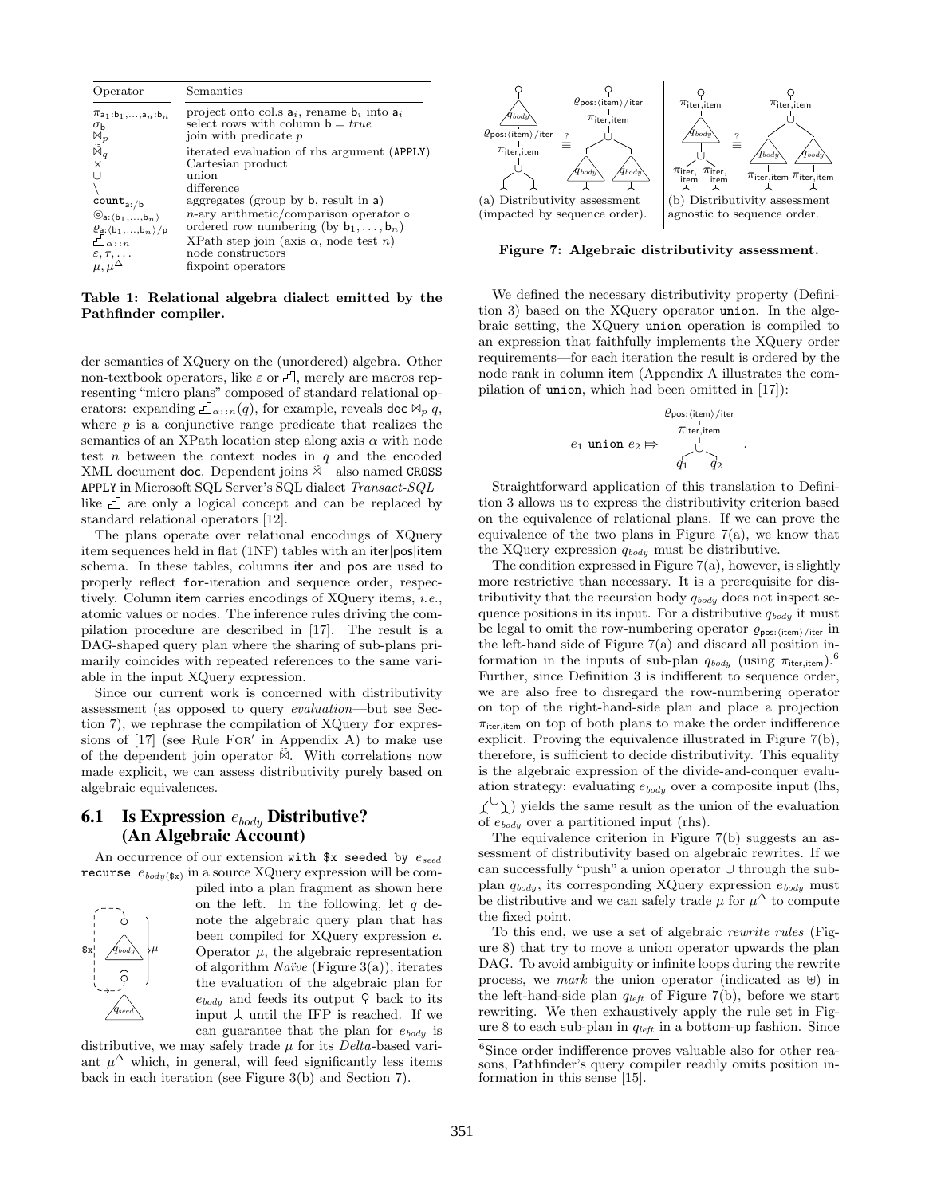| Operator                                                                             | Semantics                                                                                                         |
|--------------------------------------------------------------------------------------|-------------------------------------------------------------------------------------------------------------------|
| $\pi_{a_1:b_1,\ldots,a_n:b_n}$<br>$\sigma_{\rm b}$                                   | project onto col.s $a_i$ , rename $b_i$ into $a_i$<br>select rows with column $b = true$<br>join with predicate p |
| $\stackrel{\boxtimes p}{\scriptscriptstyle \boxtimes q}$<br>$\times$                 | iterated evaluation of rhs argument (APPLY)<br>Cartesian product                                                  |
| ΙI                                                                                   | union<br>difference<br>aggregates (group by $\mathsf{b}$ , result in a)                                           |
| $count_{a: / b}$<br>$\mathcal{O}_{a:(b_1,,b_n)}$<br>$\varrho_{a:(b_1,\ldots,b_n)}/p$ | $n$ -ary arithmetic/comparison operator $\circ$<br>ordered row numbering (by $b_1, \ldots, b_n$ )                 |
| $\Box_{\alpha \cdots n}$<br>$\epsilon, \tau, \ldots$                                 | XPath step join (axis $\alpha$ , node test n)<br>node constructors                                                |
| $\mu, \mu^{\Delta}$                                                                  | fixpoint operators                                                                                                |

Table 1: Relational algebra dialect emitted by the Pathfinder compiler.

der semantics of XQuery on the (unordered) algebra. Other non-textbook operators, like  $\varepsilon$  or  $\mathcal{L}$ , merely are macros representing "micro plans" composed of standard relational operators: expanding  $\Box_{\alpha \cdots n}(q)$ , for example, reveals doc  $\mathbb{W}_p$  q, where  $p$  is a conjunctive range predicate that realizes the semantics of an XPath location step along axis  $\alpha$  with node test  $n$  between the context nodes in  $q$  and the encoded XML document doc. Dependent joins  $\overline{\mathbb{A}}$  also named CROSS APPLY in Microsoft SQL Server's SQL dialect Transact-SQL like  $\Box$  are only a logical concept and can be replaced by standard relational operators [12].

The plans operate over relational encodings of XQuery item sequences held in flat (1NF) tables with an iter|pos|item schema. In these tables, columns iter and pos are used to properly reflect for-iteration and sequence order, respectively. Column item carries encodings of XQuery items, i.e., atomic values or nodes. The inference rules driving the compilation procedure are described in [17]. The result is a DAG-shaped query plan where the sharing of sub-plans primarily coincides with repeated references to the same variable in the input XQuery expression.

Since our current work is concerned with distributivity assessment (as opposed to query evaluation—but see Section 7), we rephrase the compilation of XQuery for expressions of  $[17]$  (see Rule FOR' in Appendix A) to make use of the dependent join operator  $\overline{\mathbb{M}}$ . With correlations now made explicit, we can assess distributivity purely based on algebraic equivalences.

# **6.1** Is Expression  $e_{body}$  Distributive? (An Algebraic Account)

An occurrence of our extension with  $x$  seeded by  $e_{seed}$ recurse  $e_{body(\textbf{sx})}$  in a source XQuery expression will be com-



piled into a plan fragment as shown here on the left. In the following, let  $q$  denote the algebraic query plan that has been compiled for XQuery expression e. Operator  $\mu$ , the algebraic representation of algorithm *Naïve* (Figure  $3(a)$ ), iterates the evaluation of the algebraic plan for  $e_{\text{body}}$  and feeds its output  $\varphi$  back to its input  $\perp$  until the IFP is reached. If we can guarantee that the plan for  $e_{\text{body}}$  is

distributive, we may safely trade  $\mu$  for its *Delta*-based variant  $\mu^{\Delta}$  which, in general, will feed significantly less items back in each iteration (see Figure 3(b) and Section 7).



Figure 7: Algebraic distributivity assessment.

We defined the necessary distributivity property (Definition 3) based on the XQuery operator union. In the algebraic setting, the XQuery union operation is compiled to an expression that faithfully implements the XQuery order requirements—for each iteration the result is ordered by the node rank in column item (Appendix A illustrates the compilation of union, which had been omitted in [17]):

$$
\varrho_{\text{pos:}(item)/iter}
$$
\n
$$
e_1 \text{ union } e_2 \mapsto \bigcup_{q_1}^{q_1 \text{ inter, item}}
$$

.

Straightforward application of this translation to Definition 3 allows us to express the distributivity criterion based on the equivalence of relational plans. If we can prove the equivalence of the two plans in Figure  $7(a)$ , we know that the XQuery expression  $q_{body}$  must be distributive.

The condition expressed in Figure  $7(a)$ , however, is slightly more restrictive than necessary. It is a prerequisite for distributivity that the recursion body  $q_{body}$  does not inspect sequence positions in its input. For a distributive  $q_{body}$  it must be legal to omit the row-numbering operator  $\varrho_{\text{pos:}}$  (item) /iter in the left-hand side of Figure 7(a) and discard all position information in the inputs of sub-plan  $q_{body}$  (using  $\pi_{iter,item}$ ).<sup>6</sup> Further, since Definition 3 is indifferent to sequence order, we are also free to disregard the row-numbering operator on top of the right-hand-side plan and place a projection  $\pi$ <sub>iter, item</sub> on top of both plans to make the order indifference explicit. Proving the equivalence illustrated in Figure 7(b), therefore, is sufficient to decide distributivity. This equality is the algebraic expression of the divide-and-conquer evaluation strategy: evaluating  $e_{body}$  over a composite input (lhs,  $\langle U \rangle$ ) yields the same result as the union of the evaluation of  $e_{body}$  over a partitioned input (rhs).

The equivalence criterion in Figure  $7(b)$  suggests an assessment of distributivity based on algebraic rewrites. If we can successfully "push" a union operator ∪ through the subplan  $q_{body}$ , its corresponding XQuery expression  $e_{body}$  must be distributive and we can safely trade  $\mu$  for  $\mu^{\Delta}$  to compute the fixed point.

To this end, we use a set of algebraic rewrite rules (Figure 8) that try to move a union operator upwards the plan DAG. To avoid ambiguity or infinite loops during the rewrite process, we mark the union operator (indicated as  $\uplus$ ) in the left-hand-side plan  $q_{left}$  of Figure 7(b), before we start rewriting. We then exhaustively apply the rule set in Figure 8 to each sub-plan in  $q_{left}$  in a bottom-up fashion. Since

 ${}^{6}$ Since order indifference proves valuable also for other reasons, Pathfinder's query compiler readily omits position information in this sense [15].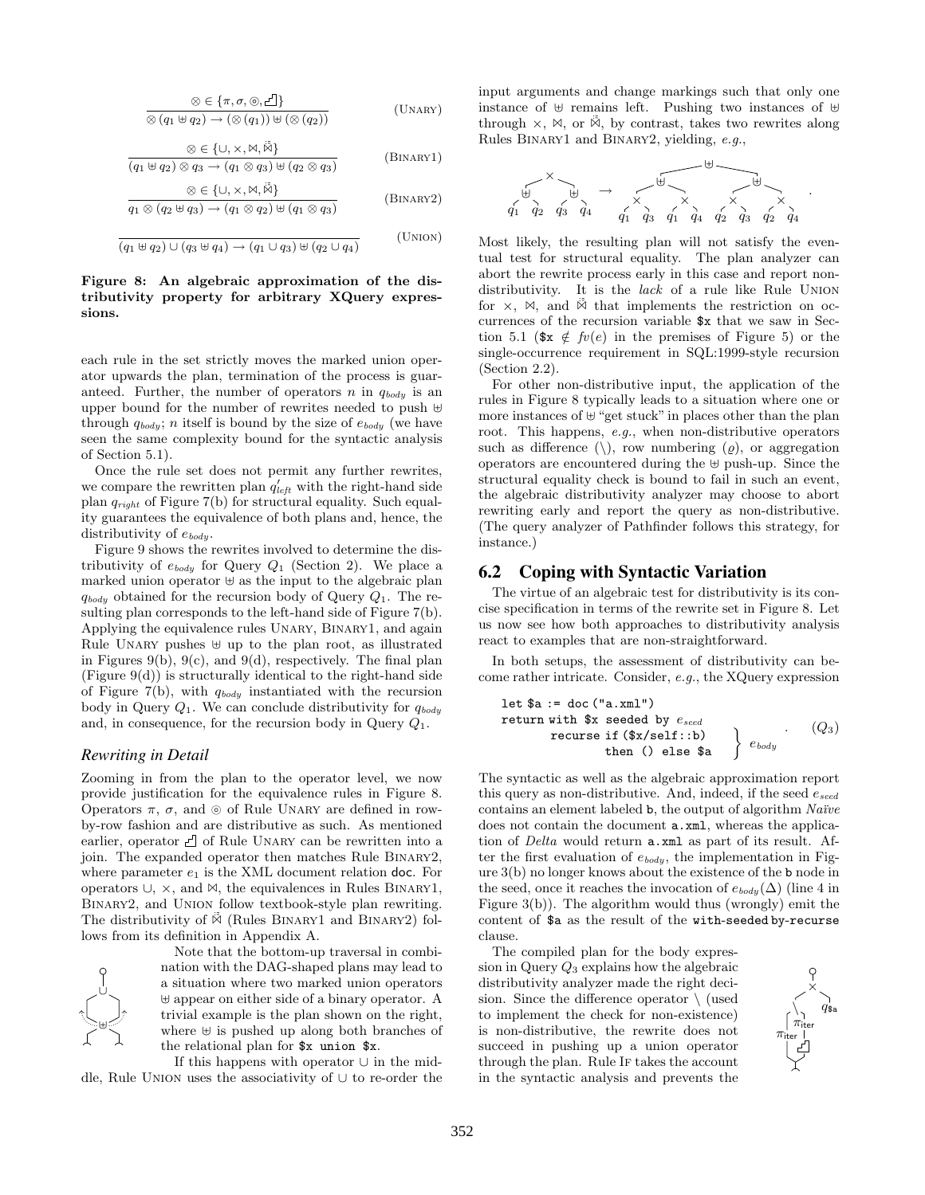$$
\frac{\otimes \in \{\pi, \sigma, \odot, \underline{\mathcal{L}}\}}{\otimes (q_1 \uplus q_2) \to (\otimes (q_1)) \uplus (\otimes (q_2))}
$$
 (UNARY)

$$
\otimes \in \{\cup, \times, \mathbb{M}, \check{\mathbb{M}}\}
$$
  
( $q_1 \oplus q_2$ )  $\otimes q_3 \rightarrow (q_1 \otimes q_3) \oplus (q_2 \otimes q_3)$  (BINARY1)

$$
\frac{\otimes \in \{\cup, \times, \mathbb{M}, \check{\mathbb{M}}\}}{q_1 \otimes (q_2 \uplus q_3) \to (q_1 \otimes q_2) \uplus (q_1 \otimes q_3)}
$$
 (BINARY2)

$$
\frac{1}{(q_1 \boxplus q_2) \cup (q_3 \boxplus q_4) \rightarrow (q_1 \cup q_3) \boxplus (q_2 \cup q_4)} \qquad \text{(UNION)}
$$

#### Figure 8: An algebraic approximation of the distributivity property for arbitrary XQuery expressions.

each rule in the set strictly moves the marked union operator upwards the plan, termination of the process is guaranteed. Further, the number of operators n in  $q_{body}$  is an upper bound for the number of rewrites needed to push  $\uplus$ through  $q_{body}$ ; n itself is bound by the size of  $e_{body}$  (we have seen the same complexity bound for the syntactic analysis of Section 5.1).

Once the rule set does not permit any further rewrites, we compare the rewritten plan  $q'_{left}$  with the right-hand side plan  $q_{right}$  of Figure 7(b) for structural equality. Such equality guarantees the equivalence of both plans and, hence, the distributivity of  $e_{body}$ .

Figure 9 shows the rewrites involved to determine the distributivity of  $e_{body}$  for Query  $Q_1$  (Section 2). We place a marked union operator  $\forall$  as the input to the algebraic plan  $q_{body}$  obtained for the recursion body of Query  $Q_1$ . The resulting plan corresponds to the left-hand side of Figure 7(b). Applying the equivalence rules Unary, Binary1, and again Rule UNARY pushes  $\uplus$  up to the plan root, as illustrated in Figures 9(b), 9(c), and 9(d), respectively. The final plan  $(Figure 9(d))$  is structurally identical to the right-hand side of Figure 7(b), with  $q_{body}$  instantiated with the recursion body in Query  $Q_1$ . We can conclude distributivity for  $q_{body}$ and, in consequence, for the recursion body in Query  $Q_1$ .

# *Rewriting in Detail*

Zooming in from the plan to the operator level, we now provide justification for the equivalence rules in Figure 8. Operators  $\pi$ ,  $\sigma$ , and  $\odot$  of Rule UNARY are defined in rowby-row fashion and are distributive as such. As mentioned earlier, operator  $\Box$  of Rule UNARY can be rewritten into a join. The expanded operator then matches Rule Binary2, where parameter  $e_1$  is the XML document relation doc. For operators ∪, ×, and ✶, the equivalences in Rules Binary1, Binary2, and Union follow textbook-style plan rewriting. The distributivity of  $\overline{\mathbb{W}}$  (Rules BINARY1 and BINARY2) follows from its definition in Appendix A.



Note that the bottom-up traversal in combination with the DAG-shaped plans may lead to a situation where two marked union operators  $\uplus$  appear on either side of a binary operator. A trivial example is the plan shown on the right, where  $\uplus$  is pushed up along both branches of the relational plan for \$x union \$x.

If this happens with operator ∪ in the middle, Rule Union uses the associativity of ∪ to re-order the input arguments and change markings such that only one instance of  $\uplus$  remains left. Pushing two instances of  $\uplus$ through  $\times$ ,  $\bowtie$ , or  $\overline{\overset{\circ}{\bowtie}}$ , by contrast, takes two rewrites along Rules Binary1 and Binary2, yielding, e.g.,



Most likely, the resulting plan will not satisfy the eventual test for structural equality. The plan analyzer can abort the rewrite process early in this case and report nondistributivity. It is the *lack* of a rule like Rule UNION for  $\times$ ,  $\bowtie$ , and  $\ddot{\bowtie}$  that implements the restriction on occurrences of the recursion variable \$x that we saw in Section 5.1 ( $x \notin f\nu(e)$  in the premises of Figure 5) or the single-occurrence requirement in SQL:1999-style recursion (Section 2.2).

For other non-distributive input, the application of the rules in Figure 8 typically leads to a situation where one or more instances of  $\uplus$  "get stuck" in places other than the plan root. This happens, e.g., when non-distributive operators such as difference (\), row numbering ( $\varrho$ ), or aggregation operators are encountered during the  $\uplus$  push-up. Since the structural equality check is bound to fail in such an event, the algebraic distributivity analyzer may choose to abort rewriting early and report the query as non-distributive. (The query analyzer of Pathfinder follows this strategy, for instance.)

# 6.2 Coping with Syntactic Variation

The virtue of an algebraic test for distributivity is its concise specification in terms of the rewrite set in Figure 8. Let us now see how both approaches to distributivity analysis react to examples that are non-straightforward.

In both setups, the assessment of distributivity can become rather intricate. Consider, e.g., the XQuery expression

let \$a := doc("a.xml")

\nreturn with \$x \text{ seeded by } e\_{seed}\$

\nrecursive if (\$x/self::b) then () else \$a

\n
$$
\left.\begin{array}{c}\n\end{array}\right\} e_{body}
$$
\n(Q3)

The syntactic as well as the algebraic approximation report this query as non-distributive. And, indeed, if the seed  $e_{seed}$ contains an element labeled  $\mathbf{b}$ , the output of algorithm  $Naïve$ does not contain the document **a**.xml, whereas the application of Delta would return a.xml as part of its result. After the first evaluation of  $e_{body}$ , the implementation in Figure 3(b) no longer knows about the existence of the b node in the seed, once it reaches the invocation of  $e_{badu}(\Delta)$  (line 4 in Figure 3(b)). The algorithm would thus (wrongly) emit the content of \$a as the result of the with-seeded by-recurse clause.

The compiled plan for the body expression in Query  $Q_3$  explains how the algebraic distributivity analyzer made the right decision. Since the difference operator  $\setminus$  (used to implement the check for non-existence) is non-distributive, the rewrite does not succeed in pushing up a union operator through the plan. Rule If takes the account in the syntactic analysis and prevents the

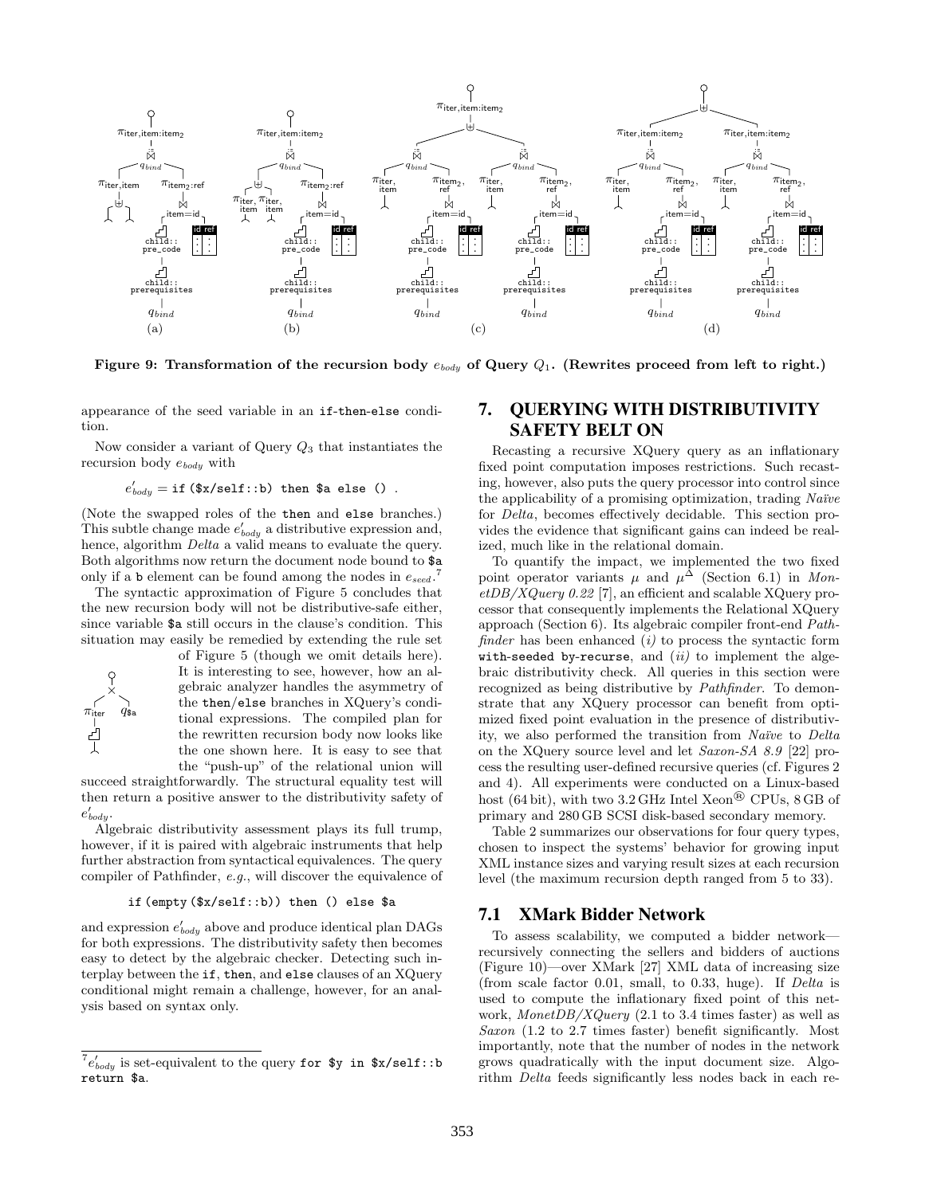

Figure 9: Transformation of the recursion body  $e_{body}$  of Query  $Q_1$ . (Rewrites proceed from left to right.)

appearance of the seed variable in an if-then-else condition.

Now consider a variant of Query  $Q_3$  that instantiates the recursion body  $e_{body}$  with

$$
e'_{body} = \text{if } (\$x/self::b) \text{ then } \$a \text{ else } () .
$$

(Note the swapped roles of the then and else branches.) This subtle change made  $e'_{body}$  a distributive expression and, hence, algorithm *Delta* a valid means to evaluate the query. Both algorithms now return the document node bound to \$a only if a b element can be found among the nodes in  $e_{seed}$ .<sup>7</sup>

The syntactic approximation of Figure 5 concludes that the new recursion body will not be distributive-safe either, since variable \$a still occurs in the clause's condition. This situation may easily be remedied by extending the rule set



of Figure 5 (though we omit details here). It is interesting to see, however, how an algebraic analyzer handles the asymmetry of the then/else branches in XQuery's conditional expressions. The compiled plan for the rewritten recursion body now looks like the one shown here. It is easy to see that the "push-up" of the relational union will

succeed straightforwardly. The structural equality test will then return a positive answer to the distributivity safety of  $e'_{body}$ .

Algebraic distributivity assessment plays its full trump, however, if it is paired with algebraic instruments that help further abstraction from syntactical equivalences. The query compiler of Pathfinder, e.g., will discover the equivalence of

#### if (empty (\$x/self::b)) then () else \$a

and expression  $e'_{body}$  above and produce identical plan DAGs for both expressions. The distributivity safety then becomes easy to detect by the algebraic checker. Detecting such interplay between the if, then, and else clauses of an XQuery conditional might remain a challenge, however, for an analysis based on syntax only.

# 7. QUERYING WITH DISTRIBUTIVITY SAFETY BELT ON

Recasting a recursive XQuery query as an inflationary fixed point computation imposes restrictions. Such recasting, however, also puts the query processor into control since the applicability of a promising optimization, trading Naïve for Delta, becomes effectively decidable. This section provides the evidence that significant gains can indeed be realized, much like in the relational domain.

To quantify the impact, we implemented the two fixed point operator variants  $\mu$  and  $\mu^{\Delta}$  (Section 6.1) in Mon $etDB/XQuery 0.22$  [7], an efficient and scalable XQuery processor that consequently implements the Relational XQuery approach (Section 6). Its algebraic compiler front-end Pathfinder has been enhanced  $(i)$  to process the syntactic form with-seeded by-recurse, and  $(ii)$  to implement the algebraic distributivity check. All queries in this section were recognized as being distributive by Pathfinder. To demonstrate that any XQuery processor can benefit from optimized fixed point evaluation in the presence of distributivity, we also performed the transition from Naïve to Delta on the XQuery source level and let Saxon-SA 8.9 [22] process the resulting user-defined recursive queries (cf. Figures 2 and 4). All experiments were conducted on a Linux-based host (64 bit), with two 3.2 GHz Intel Xeon® CPUs, 8 GB of primary and 280 GB SCSI disk-based secondary memory.

Table 2 summarizes our observations for four query types, chosen to inspect the systems' behavior for growing input XML instance sizes and varying result sizes at each recursion level (the maximum recursion depth ranged from 5 to 33).

#### 7.1 XMark Bidder Network

To assess scalability, we computed a bidder network recursively connecting the sellers and bidders of auctions (Figure 10)—over XMark [27] XML data of increasing size (from scale factor 0.01, small, to 0.33, huge). If Delta is used to compute the inflationary fixed point of this network, MonetDB/XQuery  $(2.1 \text{ to } 3.4 \text{ times faster})$  as well as Saxon (1.2 to 2.7 times faster) benefit significantly. Most importantly, note that the number of nodes in the network grows quadratically with the input document size. Algorithm Delta feeds significantly less nodes back in each re-

 $^{7}e'_{body}$  is set-equivalent to the query for \$y in \$x/self::b return \$a.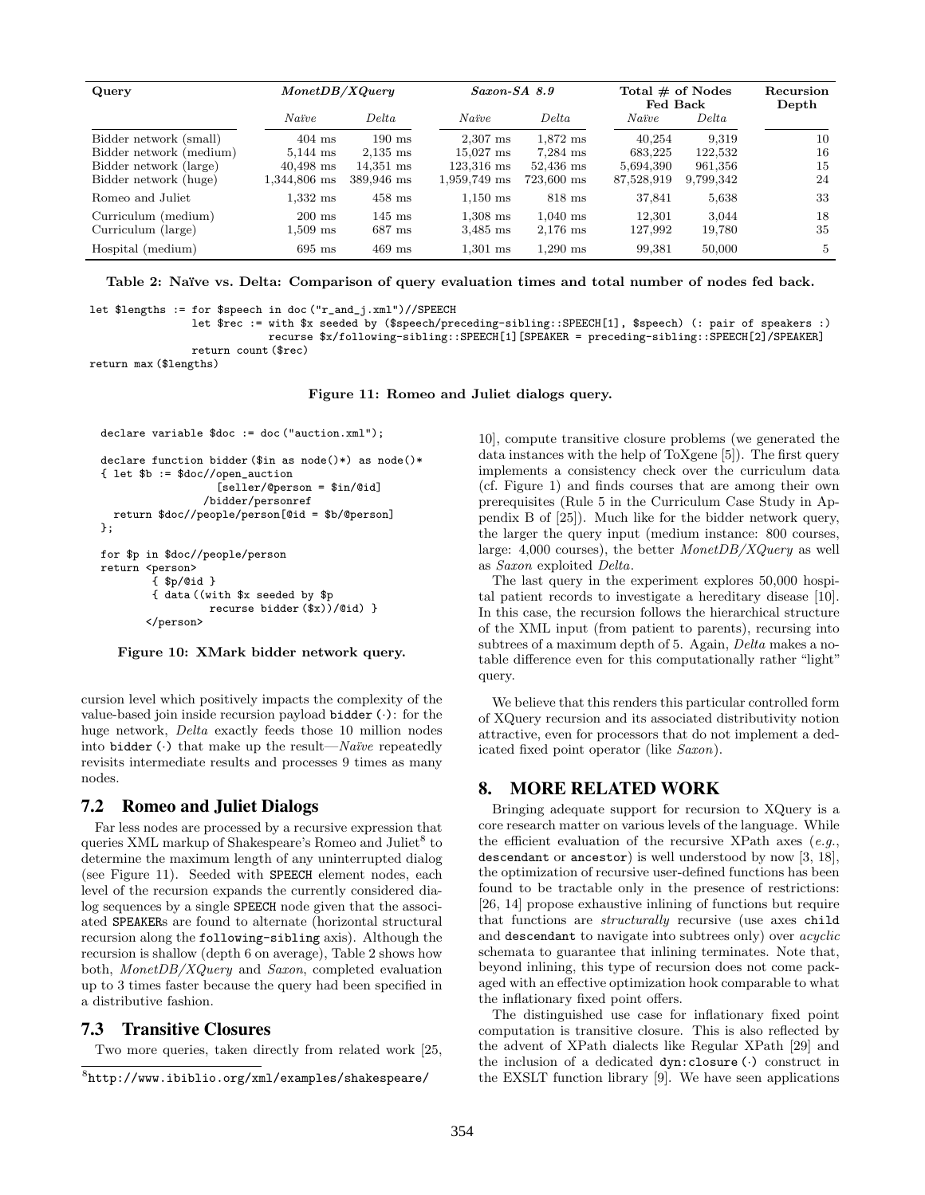| Query                   | Monet DB/XQuery  |                  | $Saxon-SA$ 8.9      |            | Total $\#$ of Nodes<br>Fed Back |           | Recursion<br>Depth |
|-------------------------|------------------|------------------|---------------------|------------|---------------------------------|-----------|--------------------|
|                         | Naïve            | Delta            | Naïve               | Delta      | Naïve                           | Delta     |                    |
| Bidder network (small)  | $404$ ms         | $190 \text{ ms}$ | $2.307$ ms          | $1.872$ ms | 40.254                          | 9.319     | 10                 |
| Bidder network (medium) | $5.144$ ms       | $2,135$ ms       | $15.027 \text{ ms}$ | $7.284$ ms | 683.225                         | 122,532   | 16                 |
| Bidder network (large)  | $40,498$ ms      | $14.351$ ms      | 123,316 ms          | 52.436 ms  | 5,694,390                       | 961,356   | 15                 |
| Bidder network (huge)   | 1,344,806 ms     | 389,946 ms       | $1,959,749$ ms      | 723,600 ms | 87,528,919                      | 9,799,342 | 24                 |
| Romeo and Juliet        | $1.332$ ms       | $458$ ms         | $1.150 \text{ ms}$  | $818$ ms   | 37,841                          | 5.638     | 33                 |
| Curriculum (medium)     | $200 \text{ ms}$ | $145 \text{ ms}$ | $1.308$ ms          | $1.040$ ms | 12.301                          | 3.044     | 18                 |
| Curriculum (large)      | $1,509$ ms       | $687$ ms         | $3,485$ ms          | $2.176$ ms | 127.992                         | 19,780    | 35                 |
| Hospital (medium)       | $695$ ms         | $469$ ms         | $1.301$ ms          | $1.290$ ms | 99.381                          | 50,000    | 5                  |

Table 2: Naïve vs. Delta: Comparison of query evaluation times and total number of nodes fed back.

let \$lengths := for \$speech in doc ("r\_and\_j.xml")//SPEECH

let \$rec := with \$x seeded by (\$speech/preceding-sibling::SPEECH[1], \$speech) (: pair of speakers :)

recurse \$x/following-sibling::SPEECH[1][SPEAKER = preceding-sibling::SPEECH[2]/SPEAKER]

return count (\$rec)

return max (\$lengths)

Figure 11: Romeo and Juliet dialogs query.

```
declare variable $doc := doc ("auction.xml");
```

```
declare function bidder ($in as node()*) as node()*
{ let $b := $doc//open_auction
                   [seller/@person = $in/@id]
                /bidder/personref
  return $doc//people/person[@id = $b/@person]
};
for $p in $doc//people/person
```

```
return <person>
         { $p/@id }
         { data ((with $x seeded by $p
                    recurse bidder ($x))/@id) }
        \langle/nerson\rangle
```
Figure 10: XMark bidder network query.

cursion level which positively impacts the complexity of the value-based join inside recursion payload bidder  $(\cdot)$ : for the huge network, Delta exactly feeds those 10 million nodes into bidder  $\left(\cdot\right)$  that make up the result—*Naïve* repeatedly revisits intermediate results and processes 9 times as many nodes.

### 7.2 Romeo and Juliet Dialogs

Far less nodes are processed by a recursive expression that queries XML markup of Shakespeare's Romeo and Juliet<sup>8</sup> to determine the maximum length of any uninterrupted dialog (see Figure 11). Seeded with SPEECH element nodes, each level of the recursion expands the currently considered dialog sequences by a single SPEECH node given that the associated SPEAKERs are found to alternate (horizontal structural recursion along the following-sibling axis). Although the recursion is shallow (depth 6 on average), Table 2 shows how both, MonetDB/XQuery and Saxon, completed evaluation up to 3 times faster because the query had been specified in a distributive fashion.

# 7.3 Transitive Closures

Two more queries, taken directly from related work [25,

10], compute transitive closure problems (we generated the data instances with the help of ToXgene [5]). The first query implements a consistency check over the curriculum data (cf. Figure 1) and finds courses that are among their own prerequisites (Rule 5 in the Curriculum Case Study in Appendix B of [25]). Much like for the bidder network query, the larger the query input (medium instance: 800 courses, large: 4,000 courses), the better  $MonetDB/XQuery$  as well as Saxon exploited Delta.

The last query in the experiment explores 50,000 hospital patient records to investigate a hereditary disease [10]. In this case, the recursion follows the hierarchical structure of the XML input (from patient to parents), recursing into subtrees of a maximum depth of 5. Again, *Delta* makes a notable difference even for this computationally rather "light" query.

We believe that this renders this particular controlled form of XQuery recursion and its associated distributivity notion attractive, even for processors that do not implement a dedicated fixed point operator (like Saxon).

# 8. MORE RELATED WORK

Bringing adequate support for recursion to XQuery is a core research matter on various levels of the language. While the efficient evaluation of the recursive XPath axes  $(e.g.,)$ descendant or ancestor) is well understood by now [3, 18], the optimization of recursive user-defined functions has been found to be tractable only in the presence of restrictions: [26, 14] propose exhaustive inlining of functions but require that functions are structurally recursive (use axes child and descendant to navigate into subtrees only) over acyclic schemata to guarantee that inlining terminates. Note that, beyond inlining, this type of recursion does not come packaged with an effective optimization hook comparable to what the inflationary fixed point offers.

The distinguished use case for inflationary fixed point computation is transitive closure. This is also reflected by the advent of XPath dialects like Regular XPath [29] and the inclusion of a dedicated dyn:closure (·) construct in the EXSLT function library [9]. We have seen applications

 $8$ http://www.ibiblio.org/xml/examples/shakespeare/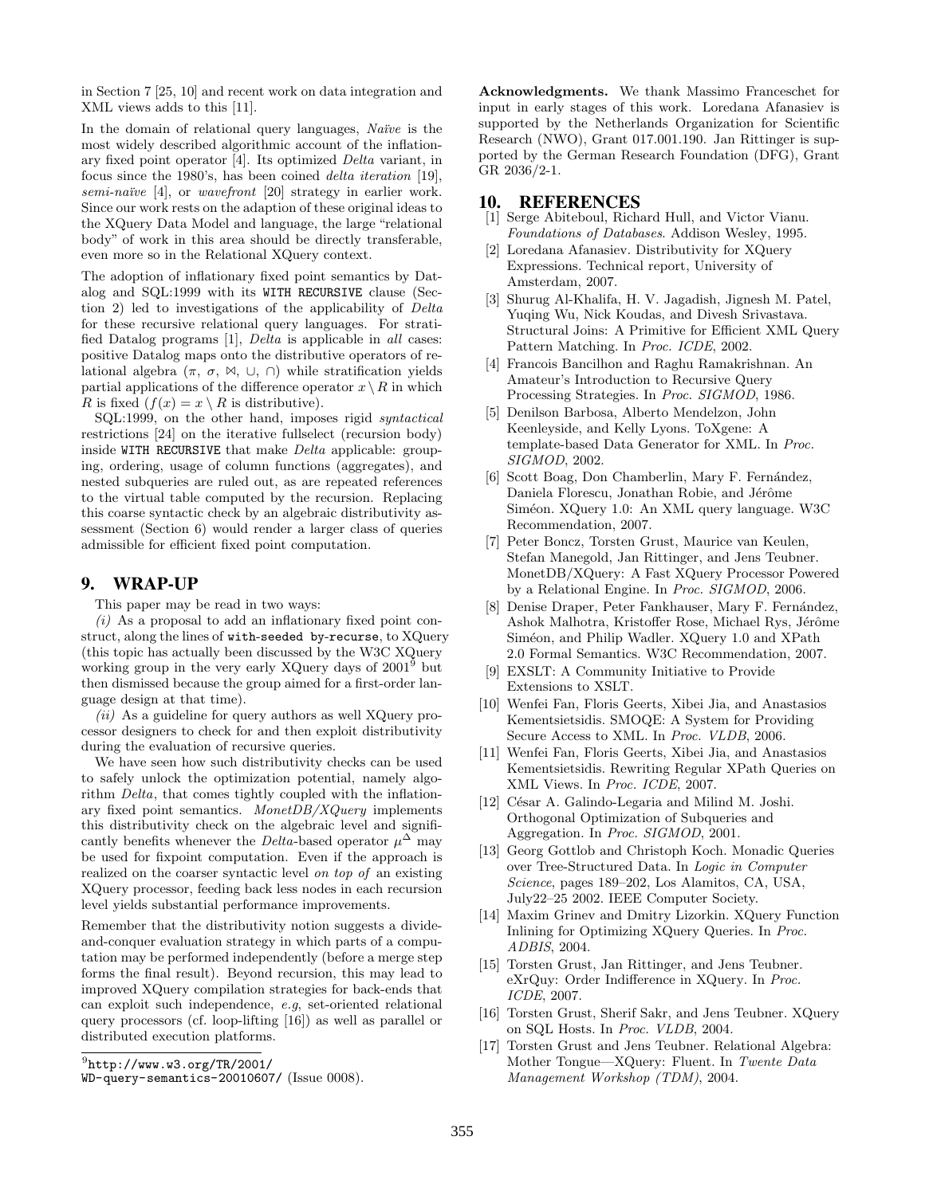in Section 7 [25, 10] and recent work on data integration and XML views adds to this [11].

In the domain of relational query languages, Naïve is the most widely described algorithmic account of the inflationary fixed point operator [4]. Its optimized Delta variant, in focus since the 1980's, has been coined delta iteration [19],  $semi\text{-}na\text{i}ve [4]$ , or *wavefront* [20] strategy in earlier work. Since our work rests on the adaption of these original ideas to the XQuery Data Model and language, the large "relational body" of work in this area should be directly transferable, even more so in the Relational XQuery context.

The adoption of inflationary fixed point semantics by Datalog and SQL:1999 with its WITH RECURSIVE clause (Section 2) led to investigations of the applicability of Delta for these recursive relational query languages. For stratified Datalog programs [1], Delta is applicable in all cases: positive Datalog maps onto the distributive operators of relational algebra  $(\pi, \sigma, \mathbb{M}, \cup, \cap)$  while stratification yields partial applications of the difference operator  $x \setminus R$  in which R is fixed  $(f(x) = x \setminus R$  is distributive).

SQL:1999, on the other hand, imposes rigid *syntactical* restrictions [24] on the iterative fullselect (recursion body) inside WITH RECURSIVE that make Delta applicable: grouping, ordering, usage of column functions (aggregates), and nested subqueries are ruled out, as are repeated references to the virtual table computed by the recursion. Replacing this coarse syntactic check by an algebraic distributivity assessment (Section 6) would render a larger class of queries admissible for efficient fixed point computation.

#### 9. WRAP-UP

This paper may be read in two ways:

 $(i)$  As a proposal to add an inflationary fixed point construct, along the lines of with-seeded by-recurse, to XQuery (this topic has actually been discussed by the W3C XQuery working group in the very early XQuery days of 2001<sup>9</sup> but then dismissed because the group aimed for a first-order language design at that time).

 $(ii)$  As a guideline for query authors as well XQuery processor designers to check for and then exploit distributivity during the evaluation of recursive queries.

We have seen how such distributivity checks can be used to safely unlock the optimization potential, namely algorithm Delta, that comes tightly coupled with the inflationary fixed point semantics. MonetDB/XQuery implements this distributivity check on the algebraic level and significantly benefits whenever the *Delta*-based operator  $\mu^{\Delta}$  may be used for fixpoint computation. Even if the approach is realized on the coarser syntactic level on top of an existing XQuery processor, feeding back less nodes in each recursion level yields substantial performance improvements.

Remember that the distributivity notion suggests a divideand-conquer evaluation strategy in which parts of a computation may be performed independently (before a merge step forms the final result). Beyond recursion, this may lead to improved XQuery compilation strategies for back-ends that can exploit such independence, e.g, set-oriented relational query processors (cf. loop-lifting [16]) as well as parallel or distributed execution platforms.

Acknowledgments. We thank Massimo Franceschet for input in early stages of this work. Loredana Afanasiev is supported by the Netherlands Organization for Scientific Research (NWO), Grant 017.001.190. Jan Rittinger is supported by the German Research Foundation (DFG), Grant GR 2036/2-1.

# 10. REFERENCES

- [1] Serge Abiteboul, Richard Hull, and Victor Vianu. Foundations of Databases. Addison Wesley, 1995.
- [2] Loredana Afanasiev. Distributivity for XQuery Expressions. Technical report, University of Amsterdam, 2007.
- [3] Shurug Al-Khalifa, H. V. Jagadish, Jignesh M. Patel, Yuqing Wu, Nick Koudas, and Divesh Srivastava. Structural Joins: A Primitive for Efficient XML Query Pattern Matching. In Proc. ICDE, 2002.
- [4] Francois Bancilhon and Raghu Ramakrishnan. An Amateur's Introduction to Recursive Query Processing Strategies. In Proc. SIGMOD, 1986.
- [5] Denilson Barbosa, Alberto Mendelzon, John Keenleyside, and Kelly Lyons. ToXgene: A template-based Data Generator for XML. In Proc. SIGMOD, 2002.
- [6] Scott Boag, Don Chamberlin, Mary F. Fernández, Daniela Florescu, Jonathan Robie, and Jérôme Siméon. XQuery 1.0: An XML query language. W3C Recommendation, 2007.
- [7] Peter Boncz, Torsten Grust, Maurice van Keulen, Stefan Manegold, Jan Rittinger, and Jens Teubner. MonetDB/XQuery: A Fast XQuery Processor Powered by a Relational Engine. In Proc. SIGMOD, 2006.
- [8] Denise Draper, Peter Fankhauser, Mary F. Fernández, Ashok Malhotra, Kristoffer Rose, Michael Rys, Jérôme Siméon, and Philip Wadler. XQuery 1.0 and XPath 2.0 Formal Semantics. W3C Recommendation, 2007.
- [9] EXSLT: A Community Initiative to Provide Extensions to XSLT.
- [10] Wenfei Fan, Floris Geerts, Xibei Jia, and Anastasios Kementsietsidis. SMOQE: A System for Providing Secure Access to XML. In Proc. VLDB, 2006.
- [11] Wenfei Fan, Floris Geerts, Xibei Jia, and Anastasios Kementsietsidis. Rewriting Regular XPath Queries on XML Views. In Proc. ICDE, 2007.
- [12] César A. Galindo-Legaria and Milind M. Joshi. Orthogonal Optimization of Subqueries and Aggregation. In Proc. SIGMOD, 2001.
- [13] Georg Gottlob and Christoph Koch. Monadic Queries over Tree-Structured Data. In Logic in Computer Science, pages 189–202, Los Alamitos, CA, USA, July22–25 2002. IEEE Computer Society.
- [14] Maxim Grinev and Dmitry Lizorkin. XQuery Function Inlining for Optimizing XQuery Queries. In Proc. ADBIS, 2004.
- [15] Torsten Grust, Jan Rittinger, and Jens Teubner. eXrQuy: Order Indifference in XQuery. In Proc. ICDE, 2007.
- [16] Torsten Grust, Sherif Sakr, and Jens Teubner. XQuery on SQL Hosts. In Proc. VLDB, 2004.
- [17] Torsten Grust and Jens Teubner. Relational Algebra: Mother Tongue—XQuery: Fluent. In Twente Data Management Workshop (TDM), 2004.

 $^9$ http://www.w3.org/TR/2001/

WD-query-semantics-20010607/ (Issue 0008).